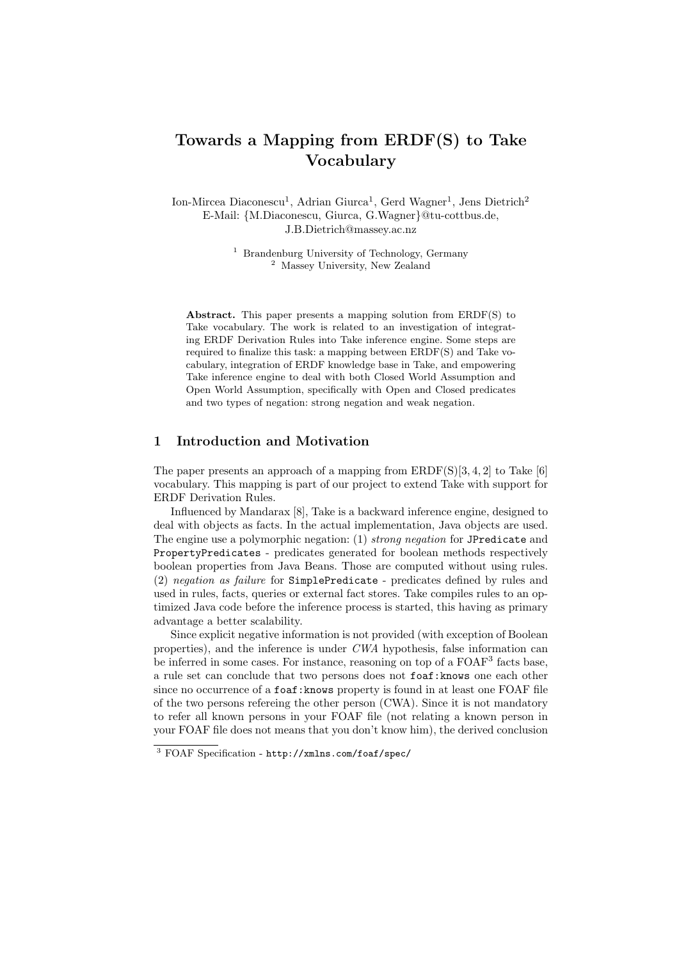# Towards a Mapping from ERDF(S) to Take Vocabulary

Ion-Mircea Diaconescu<sup>1</sup>, Adrian Giurca<sup>1</sup>, Gerd Wagner<sup>1</sup>, Jens Dietrich<sup>2</sup> E-Mail: {M.Diaconescu, Giurca, G.Wagner}@tu-cottbus.de, J.B.Dietrich@massey.ac.nz

> <sup>1</sup> Brandenburg University of Technology, Germany <sup>2</sup> Massey University, New Zealand

Abstract. This paper presents a mapping solution from ERDF(S) to Take vocabulary. The work is related to an investigation of integrating ERDF Derivation Rules into Take inference engine. Some steps are required to finalize this task: a mapping between ERDF(S) and Take vocabulary, integration of ERDF knowledge base in Take, and empowering Take inference engine to deal with both Closed World Assumption and Open World Assumption, specifically with Open and Closed predicates and two types of negation: strong negation and weak negation.

#### 1 Introduction and Motivation

The paper presents an approach of a mapping from  $ERDF(S)[3, 4, 2]$  to Take [6] vocabulary. This mapping is part of our project to extend Take with support for ERDF Derivation Rules.

Influenced by Mandarax [8], Take is a backward inference engine, designed to deal with objects as facts. In the actual implementation, Java objects are used. The engine use a polymorphic negation: (1) strong negation for JPredicate and PropertyPredicates - predicates generated for boolean methods respectively boolean properties from Java Beans. Those are computed without using rules. (2) negation as failure for SimplePredicate - predicates defined by rules and used in rules, facts, queries or external fact stores. Take compiles rules to an optimized Java code before the inference process is started, this having as primary advantage a better scalability.

Since explicit negative information is not provided (with exception of Boolean properties), and the inference is under CWA hypothesis, false information can be inferred in some cases. For instance, reasoning on top of a FOAF<sup>3</sup> facts base, a rule set can conclude that two persons does not foaf:knows one each other since no occurrence of a foaf: knows property is found in at least one FOAF file of the two persons refereing the other person (CWA). Since it is not mandatory to refer all known persons in your FOAF file (not relating a known person in your FOAF file does not means that you don't know him), the derived conclusion

<sup>3</sup> FOAF Specification - http://xmlns.com/foaf/spec/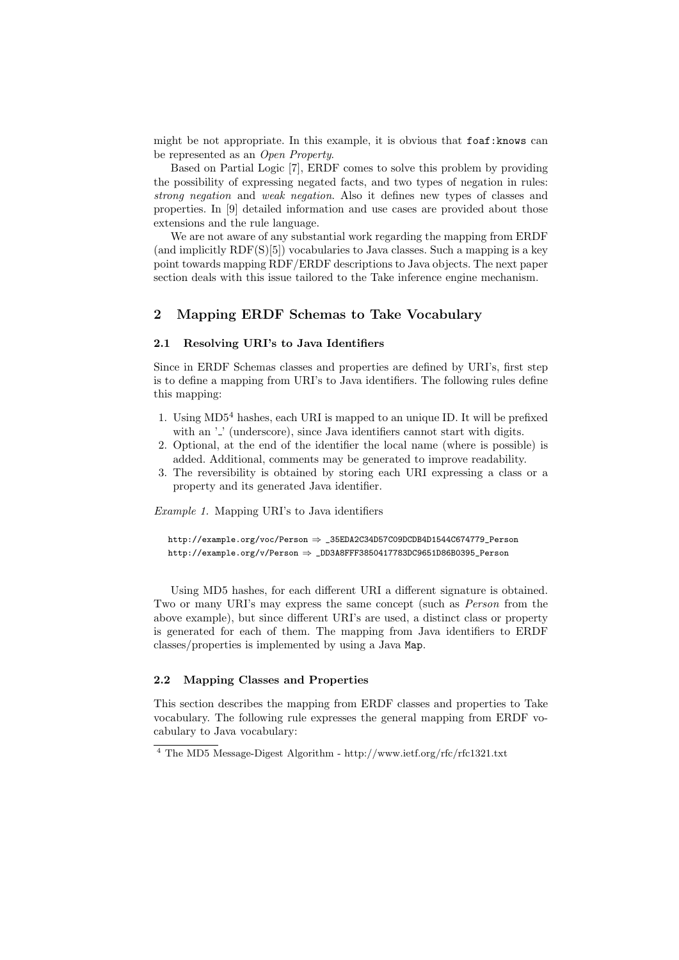might be not appropriate. In this example, it is obvious that foaf: knows can be represented as an Open Property.

Based on Partial Logic [7], ERDF comes to solve this problem by providing the possibility of expressing negated facts, and two types of negation in rules: strong negation and weak negation. Also it defines new types of classes and properties. In [9] detailed information and use cases are provided about those extensions and the rule language.

We are not aware of any substantial work regarding the mapping from ERDF (and implicitly  $RDF(S)[5]$ ) vocabularies to Java classes. Such a mapping is a key point towards mapping RDF/ERDF descriptions to Java objects. The next paper section deals with this issue tailored to the Take inference engine mechanism.

#### 2 Mapping ERDF Schemas to Take Vocabulary

#### 2.1 Resolving URI's to Java Identifiers

Since in ERDF Schemas classes and properties are defined by URI's, first step is to define a mapping from URI's to Java identifiers. The following rules define this mapping:

- 1. Using MD5<sup>4</sup> hashes, each URI is mapped to an unique ID. It will be prefixed with an  $\cdot$  ' (underscore), since Java identifiers cannot start with digits.
- 2. Optional, at the end of the identifier the local name (where is possible) is added. Additional, comments may be generated to improve readability.
- 3. The reversibility is obtained by storing each URI expressing a class or a property and its generated Java identifier.

Example 1. Mapping URI's to Java identifiers

http://example.org/voc/Person ⇒ \_35EDA2C34D57C09DCDB4D1544C674779\_Person http://example.org/v/Person  $\Rightarrow$  \_DD3A8FFF3850417783DC9651D86B0395\_Person

Using MD5 hashes, for each different URI a different signature is obtained. Two or many URI's may express the same concept (such as Person from the above example), but since different URI's are used, a distinct class or property is generated for each of them. The mapping from Java identifiers to ERDF classes/properties is implemented by using a Java Map.

#### 2.2 Mapping Classes and Properties

This section describes the mapping from ERDF classes and properties to Take vocabulary. The following rule expresses the general mapping from ERDF vocabulary to Java vocabulary:

<sup>4</sup> The MD5 Message-Digest Algorithm - http://www.ietf.org/rfc/rfc1321.txt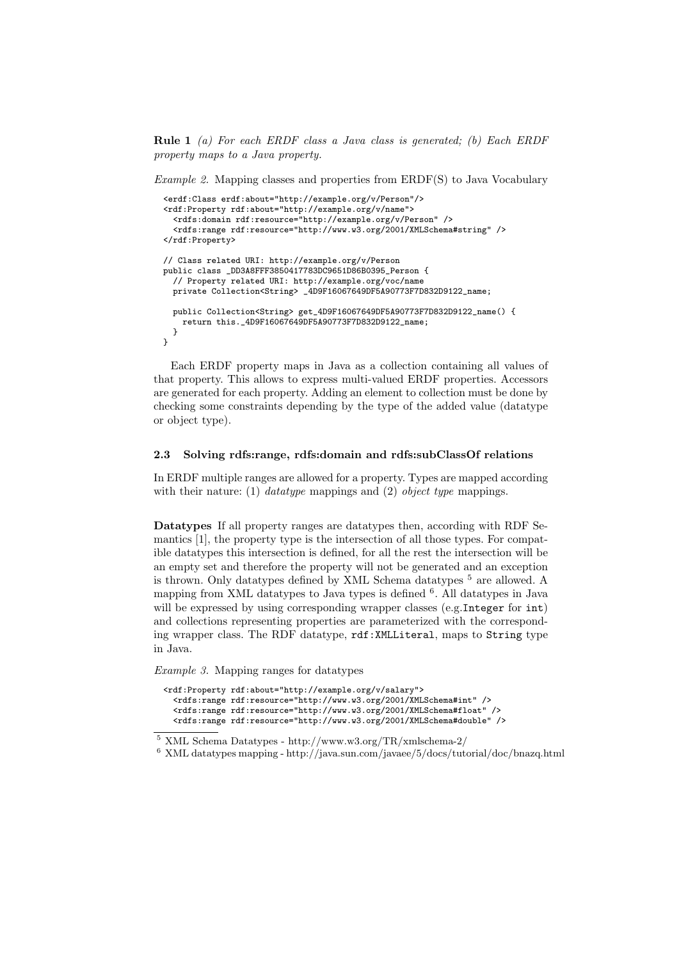Rule 1 (a) For each ERDF class a Java class is generated; (b) Each ERDF property maps to a Java property.

Example 2. Mapping classes and properties from ERDF(S) to Java Vocabulary

```
<erdf:Class erdf:about="http://example.org/v/Person"/>
<rdf:Property rdf:about="http://example.org/v/name">
  <rdfs:domain rdf:resource="http://example.org/v/Person" />
  <rdfs:range rdf:resource="http://www.w3.org/2001/XMLSchema#string" />
</rdf:Property>
// Class related URI: http://example.org/v/Person
public class _DD3A8FFF3850417783DC9651D86B0395_Person {
  // Property related URI: http://example.org/voc/name
 private Collection<String> _4D9F16067649DF5A90773F7D832D9122_name;
 public Collection<String> get_4D9F16067649DF5A90773F7D832D9122_name() {
   return this._4D9F16067649DF5A90773F7D832D9122_name;
 }
}
```
Each ERDF property maps in Java as a collection containing all values of that property. This allows to express multi-valued ERDF properties. Accessors are generated for each property. Adding an element to collection must be done by checking some constraints depending by the type of the added value (datatype or object type).

#### 2.3 Solving rdfs:range, rdfs:domain and rdfs:subClassOf relations

In ERDF multiple ranges are allowed for a property. Types are mapped according with their nature: (1) *datatype* mappings and (2) *object type* mappings.

Datatypes If all property ranges are datatypes then, according with RDF Semantics [1], the property type is the intersection of all those types. For compatible datatypes this intersection is defined, for all the rest the intersection will be an empty set and therefore the property will not be generated and an exception is thrown. Only datatypes defined by XML Schema datatypes <sup>5</sup> are allowed. A mapping from XML datatypes to Java types is defined <sup>6</sup>. All datatypes in Java will be expressed by using corresponding wrapper classes (e.g.Integer for int) and collections representing properties are parameterized with the corresponding wrapper class. The RDF datatype, rdf:XMLLiteral, maps to String type in Java.

Example 3. Mapping ranges for datatypes

```
<rdf:Property rdf:about="http://example.org/v/salary">
  <rdfs:range rdf:resource="http://www.w3.org/2001/XMLSchema#int" />
  <rdfs:range rdf:resource="http://www.w3.org/2001/XMLSchema#float" />
  <rdfs:range rdf:resource="http://www.w3.org/2001/XMLSchema#double" />
```
 $^5$  XML Schema Datatypes - http://www.w3.org/TR/xmlschema-2/  $\,$ 

 $^6\,$  XML datatypes mapping - http://java.sun.com/javaee/5/docs/tutorial/doc/bnazq.html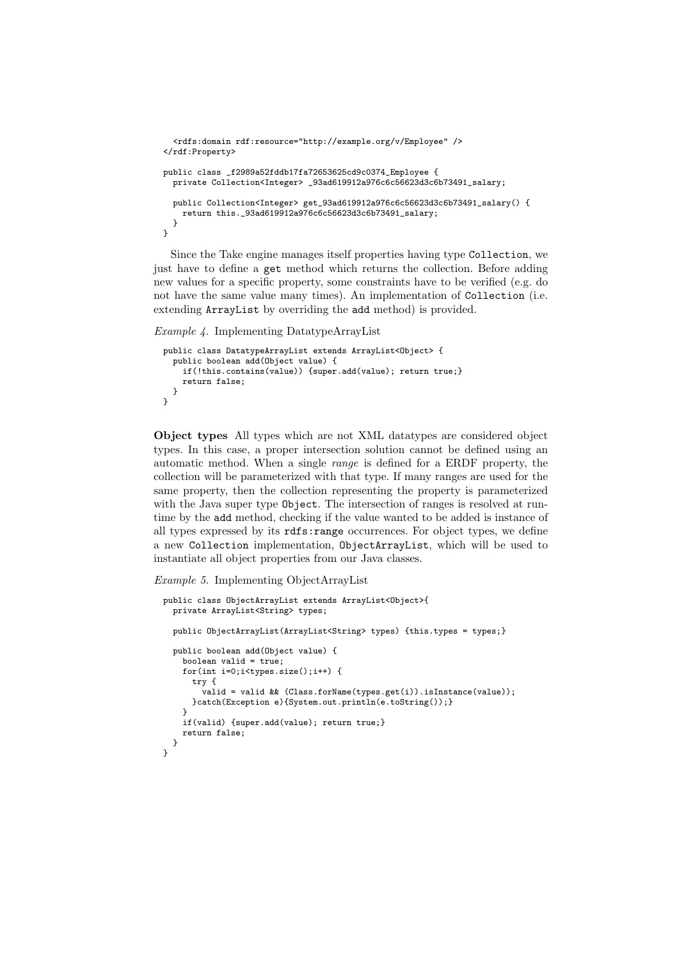```
<rdfs:domain rdf:resource="http://example.org/v/Employee" />
</rdf:Property>
public class _f2989a52fddb17fa72653625cd9c0374_Employee {
 private Collection<Integer> _93ad619912a976c6c56623d3c6b73491_salary;
 public Collection<Integer> get_93ad619912a976c6c56623d3c6b73491_salary() {
   return this._93ad619912a976c6c56623d3c6b73491_salary;
 }
}
```
Since the Take engine manages itself properties having type Collection, we just have to define a get method which returns the collection. Before adding new values for a specific property, some constraints have to be verified (e.g. do not have the same value many times). An implementation of Collection (i.e. extending ArrayList by overriding the add method) is provided.

Example 4. Implementing DatatypeArrayList

```
public class DatatypeArrayList extends ArrayList<Object> {
 public boolean add(Object value) {
   if(!this.contains(value)) {super.add(value); return true;}
   return false;
 }
}
```
Object types All types which are not XML datatypes are considered object types. In this case, a proper intersection solution cannot be defined using an automatic method. When a single range is defined for a ERDF property, the collection will be parameterized with that type. If many ranges are used for the same property, then the collection representing the property is parameterized with the Java super type Object. The intersection of ranges is resolved at runtime by the add method, checking if the value wanted to be added is instance of all types expressed by its rdfs:range occurrences. For object types, we define a new Collection implementation, ObjectArrayList, which will be used to instantiate all object properties from our Java classes.

#### Example 5. Implementing ObjectArrayList

```
public class ObjectArrayList extends ArrayList<Object>{
  private ArrayList<String> types;
  public ObjectArrayList(ArrayList<String> types) {this.types = types;}
  public boolean add(Object value) {
    boolean valid = true;
    for(int i=0;i<types.size();i++) {
      try {
        valid = valid && (Class.forName(types.get(i)).isInstance(value));
      }catch(Exception e){System.out.println(e.toString());}
    \mathbf{r}if(valid) {super.add(value); return true;}
   return false;
 }
}
```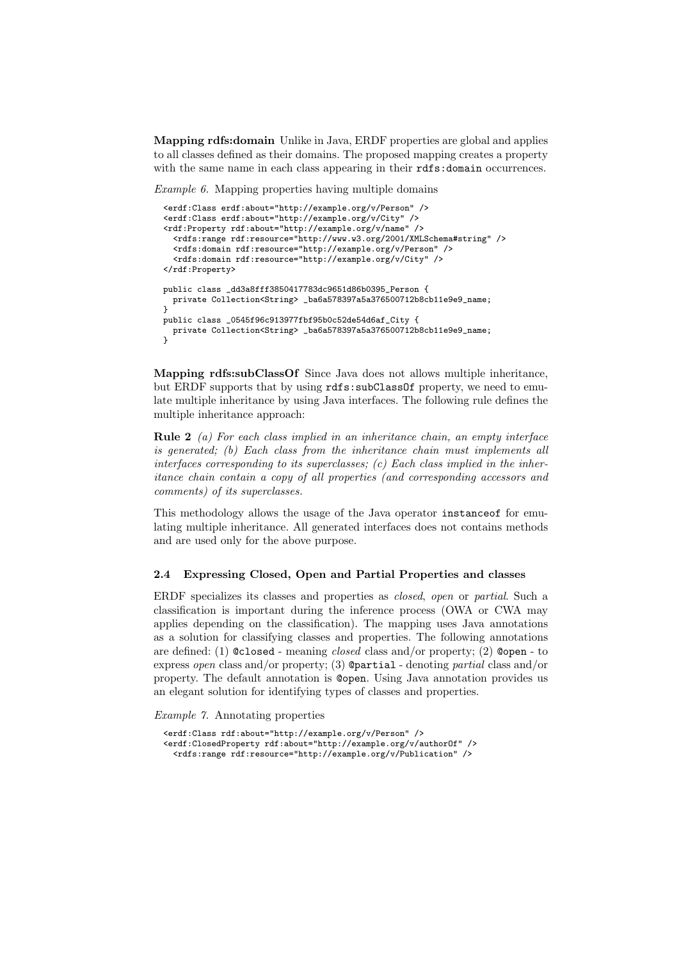Mapping rdfs:domain Unlike in Java, ERDF properties are global and applies to all classes defined as their domains. The proposed mapping creates a property with the same name in each class appearing in their rdfs: domain occurrences.

Example 6. Mapping properties having multiple domains

```
<erdf:Class erdf:about="http://example.org/v/Person" />
<erdf:Class erdf:about="http://example.org/v/City" />
<rdf:Property rdf:about="http://example.org/v/name" />
  <rdfs:range rdf:resource="http://www.w3.org/2001/XMLSchema#string" />
  <rdfs:domain rdf:resource="http://example.org/v/Person" />
  <rdfs:domain rdf:resource="http://example.org/v/City" />
</rdf:Property>
public class _dd3a8fff3850417783dc9651d86b0395_Person {
 private Collection<String> _ba6a578397a5a376500712b8cb11e9e9_name;
<sub>}</sub>
public class _0545f96c913977fbf95b0c52de54d6af_City {
 private Collection<String> _ba6a578397a5a376500712b8cb11e9e9_name;
}
```
Mapping rdfs:subClassOf Since Java does not allows multiple inheritance, but ERDF supports that by using rdfs:subClassOf property, we need to emulate multiple inheritance by using Java interfaces. The following rule defines the multiple inheritance approach:

**Rule 2** (a) For each class implied in an inheritance chain, an empty interface is generated; (b) Each class from the inheritance chain must implements all interfaces corresponding to its superclasses;  $(c)$  Each class implied in the inheritance chain contain a copy of all properties (and corresponding accessors and comments) of its superclasses.

This methodology allows the usage of the Java operator instanceof for emulating multiple inheritance. All generated interfaces does not contains methods and are used only for the above purpose.

#### 2.4 Expressing Closed, Open and Partial Properties and classes

ERDF specializes its classes and properties as closed, open or partial. Such a classification is important during the inference process (OWA or CWA may applies depending on the classification). The mapping uses Java annotations as a solution for classifying classes and properties. The following annotations are defined: (1)  $\mathcal{C}$  closed - meaning *closed* class and/or property; (2)  $\mathcal{C}$  open - to express open class and/or property; (3)  $\Phi$ partial - denoting partial class and/or property. The default annotation is @open. Using Java annotation provides us an elegant solution for identifying types of classes and properties.

Example 7. Annotating properties

```
<erdf:Class rdf:about="http://example.org/v/Person" />
<erdf:ClosedProperty rdf:about="http://example.org/v/authorOf" />
  <rdfs:range rdf:resource="http://example.org/v/Publication" />
```